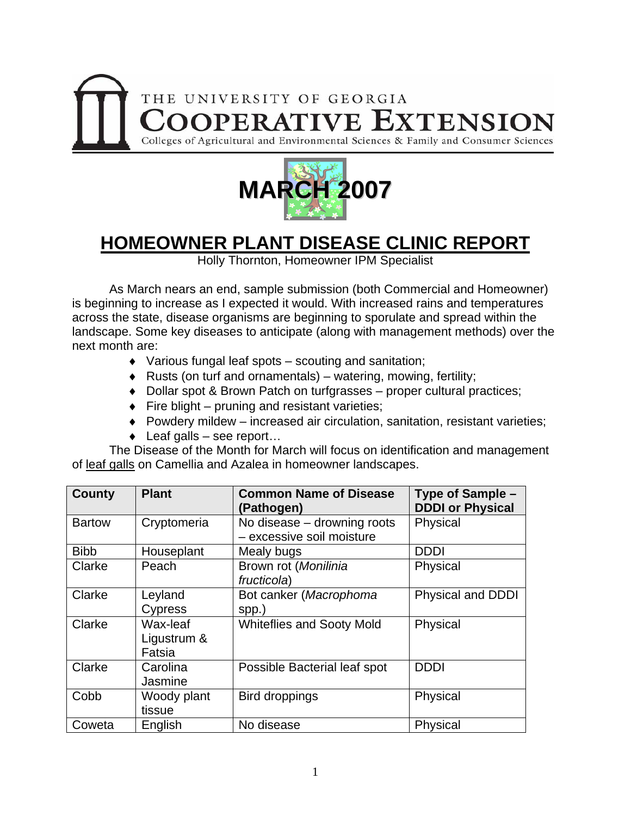



## **HOMEOWNER PLANT DISEASE CLINIC REPORT**

Holly Thornton, Homeowner IPM Specialist

 As March nears an end, sample submission (both Commercial and Homeowner) is beginning to increase as I expected it would. With increased rains and temperatures across the state, disease organisms are beginning to sporulate and spread within the landscape. Some key diseases to anticipate (along with management methods) over the next month are:

- ♦ Various fungal leaf spots scouting and sanitation;
- ♦ Rusts (on turf and ornamentals) watering, mowing, fertility;
- ♦ Dollar spot & Brown Patch on turfgrasses proper cultural practices;
- $\bullet$  Fire blight pruning and resistant varieties;
- ♦ Powdery mildew increased air circulation, sanitation, resistant varieties;
- $\bullet$  Leaf galls see report...

 The Disease of the Month for March will focus on identification and management of leaf galls on Camellia and Azalea in homeowner landscapes.

| County        | <b>Plant</b>                      | <b>Common Name of Disease</b><br>(Pathogen)              | Type of Sample -<br><b>DDDI or Physical</b> |
|---------------|-----------------------------------|----------------------------------------------------------|---------------------------------------------|
| <b>Bartow</b> | Cryptomeria                       | No disease – drowning roots<br>- excessive soil moisture | Physical                                    |
| <b>Bibb</b>   | Houseplant                        | Mealy bugs                                               | <b>DDDI</b>                                 |
| Clarke        | Peach                             | Brown rot (Monilinia<br>fructicola)                      | Physical                                    |
| Clarke        | Leyland<br><b>Cypress</b>         | Bot canker (Macrophoma<br>spp.)                          | <b>Physical and DDDI</b>                    |
| Clarke        | Wax-leaf<br>Ligustrum &<br>Fatsia | <b>Whiteflies and Sooty Mold</b>                         | Physical                                    |
| Clarke        | Carolina<br>Jasmine               | Possible Bacterial leaf spot                             | <b>DDDI</b>                                 |
| Cobb          | Woody plant<br>tissue             | Bird droppings                                           | Physical                                    |
| Coweta        | English                           | No disease                                               | Physical                                    |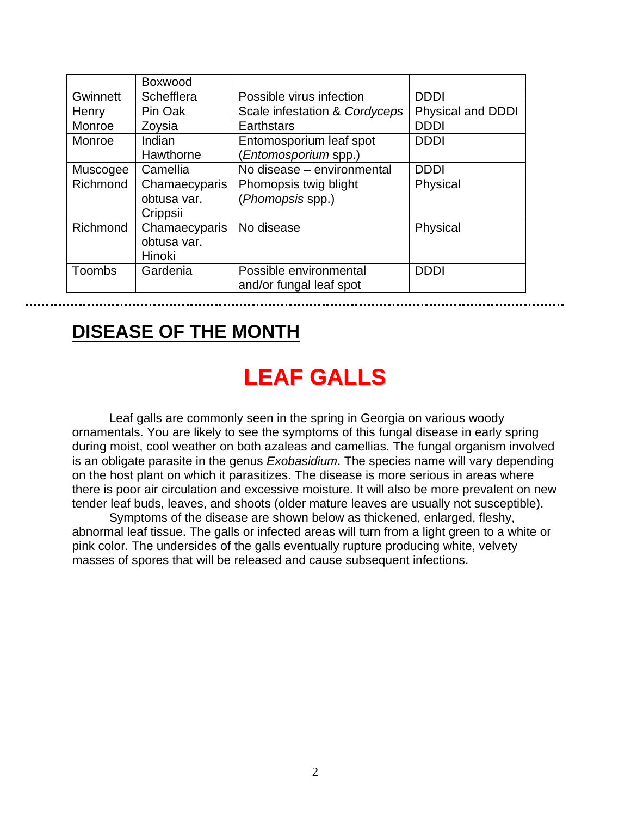|               | Boxwood       |                               |                          |
|---------------|---------------|-------------------------------|--------------------------|
| Gwinnett      | Schefflera    | Possible virus infection      | <b>DDDI</b>              |
| Henry         | Pin Oak       | Scale infestation & Cordyceps | <b>Physical and DDDI</b> |
| Monroe        | Zoysia        | Earthstars                    | <b>DDDI</b>              |
| Monroe        | Indian        | Entomosporium leaf spot       | <b>DDDI</b>              |
|               | Hawthorne     | Entomosporium spp.)           |                          |
| Muscogee      | Camellia      | No disease - environmental    | <b>DDDI</b>              |
| Richmond      | Chamaecyparis | Phomopsis twig blight         | Physical                 |
|               | obtusa var.   | (Phomopsis spp.)              |                          |
|               | Crippsii      |                               |                          |
| Richmond      | Chamaecyparis | No disease                    | Physical                 |
|               | obtusa var.   |                               |                          |
|               | Hinoki        |                               |                          |
| <b>Toombs</b> | Gardenia      | Possible environmental        | <b>DDDI</b>              |
|               |               | and/or fungal leaf spot       |                          |

## **DISEASE OF THE MONTH**

## **LEAF GALLS**

 Leaf galls are commonly seen in the spring in Georgia on various woody ornamentals. You are likely to see the symptoms of this fungal disease in early spring during moist, cool weather on both azaleas and camellias. The fungal organism involved is an obligate parasite in the genus *Exobasidium*. The species name will vary depending on the host plant on which it parasitizes. The disease is more serious in areas where there is poor air circulation and excessive moisture. It will also be more prevalent on new tender leaf buds, leaves, and shoots (older mature leaves are usually not susceptible).

 Symptoms of the disease are shown below as thickened, enlarged, fleshy, abnormal leaf tissue. The galls or infected areas will turn from a light green to a white or pink color. The undersides of the galls eventually rupture producing white, velvety masses of spores that will be released and cause subsequent infections.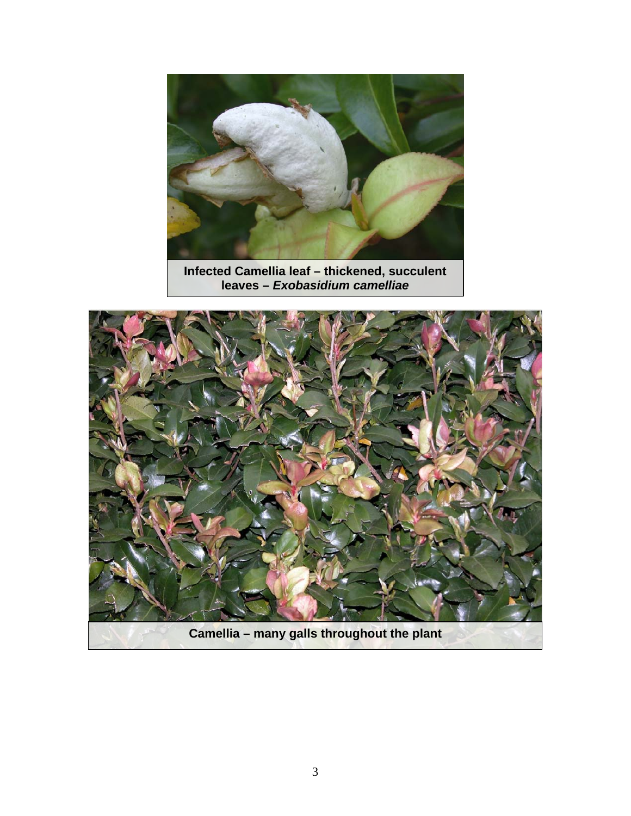

**Infected Camellia leaf – thickened, succulent leaves –** *Exobasidium camelliae* 

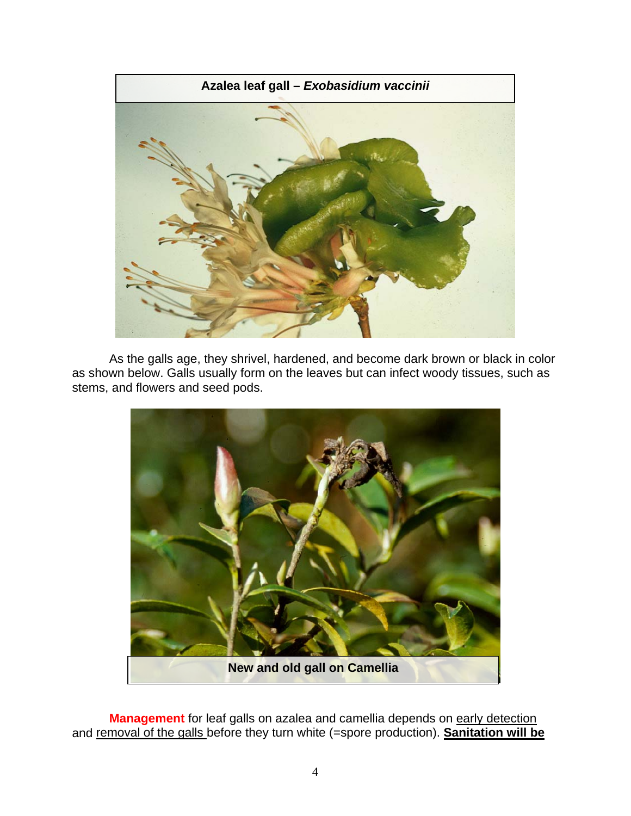

As the galls age, they shrivel, hardened, and become dark brown or black in color as shown below. Galls usually form on the leaves but can infect woody tissues, such as stems, and flowers and seed pods.



**Management** for leaf galls on azalea and camellia depends on early detection and removal of the galls before they turn white (=spore production). **Sanitation will be**